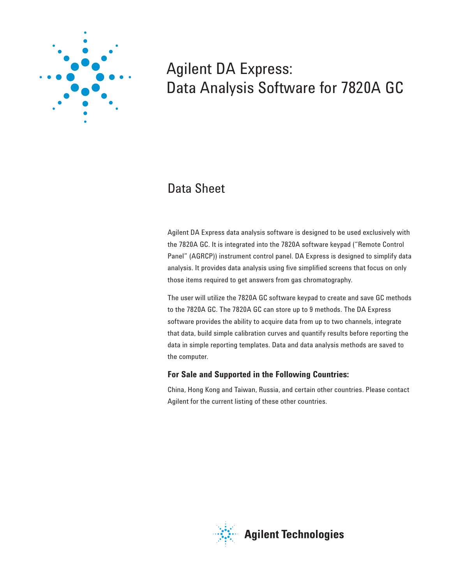

# Agilent DA Express: Data Analysis Software for 7820A GC

# Data Sheet

Agilent DA Express data analysis software is designed to be used exclusively with the 7820A GC. It is integrated into the 7820A software keypad ("Remote Control Panel" (AGRCP)) instrument control panel. DA Express is designed to simplify data analysis. It provides data analysis using five simplified screens that focus on only those items required to get answers from gas chromatography.

The user will utilize the 7820A GC software keypad to create and save GC methods to the 7820A GC. The 7820A GC can store up to 9 methods. The DA Express software provides the ability to acquire data from up to two channels, integrate that data, build simple calibration curves and quantify results before reporting the data in simple reporting templates. Data and data analysis methods are saved to the computer.

### **For Sale and Supported in the Following Countries:**

China, Hong Kong and Taiwan, Russia, and certain other countries. Please contact Agilent for the current listing of these other countries.